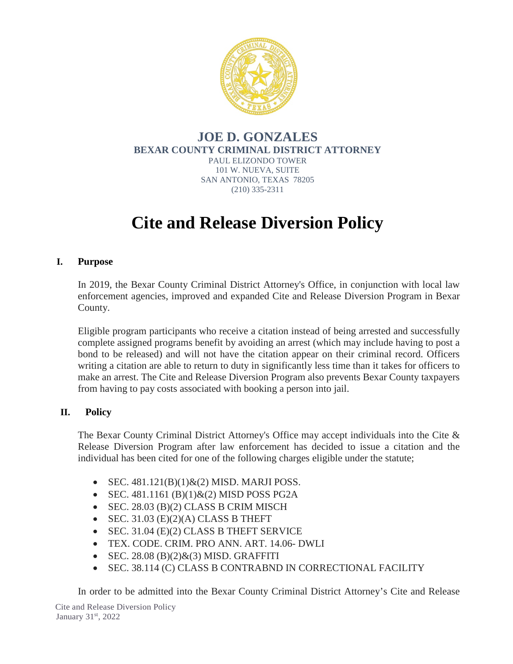

#### **JOE D. GONZALES BEXAR COUNTY CRIMINAL DISTRICT ATTORNEY** PAUL ELIZONDO TOWER 101 W. NUEVA, SUITE SAN ANTONIO, TEXAS 78205 (210) 335-2311

# **Cite and Release Diversion Policy**

## **I. Purpose**

In 2019, the Bexar County Criminal District Attorney's Office, in conjunction with local law enforcement agencies, improved and expanded Cite and Release Diversion Program in Bexar County.

Eligible program participants who receive a citation instead of being arrested and successfully complete assigned programs benefit by avoiding an arrest (which may include having to post a bond to be released) and will not have the citation appear on their criminal record. Officers writing a citation are able to return to duty in significantly less time than it takes for officers to make an arrest. The Cite and Release Diversion Program also prevents Bexar County taxpayers from having to pay costs associated with booking a person into jail.

## **II. Policy**

The Bexar County Criminal District Attorney's Office may accept individuals into the Cite & Release Diversion Program after law enforcement has decided to issue a citation and the individual has been cited for one of the following charges eligible under the statute;

- SEC.  $481.121(B)(1)$ & $(2)$  MISD. MARJI POSS.
- SEC. 481.1161 (B)(1) $\&$ (2) MISD POSS PG2A
- SEC. 28.03 (B)(2) CLASS B CRIM MISCH
- SEC. 31.03  $(E)(2)(A)$  CLASS B THEFT
- SEC. 31.04 (E)(2) CLASS B THEFT SERVICE
- TEX. CODE. CRIM. PRO ANN. ART. 14.06- DWLI
- SEC.  $28.08$  (B) $(2)$ & $(3)$  MISD. GRAFFITI
- SEC. 38.114 (C) CLASS B CONTRABND IN CORRECTIONAL FACILITY

In order to be admitted into the Bexar County Criminal District Attorney's Cite and Release

Cite and Release Diversion Policy January 31st, 2022